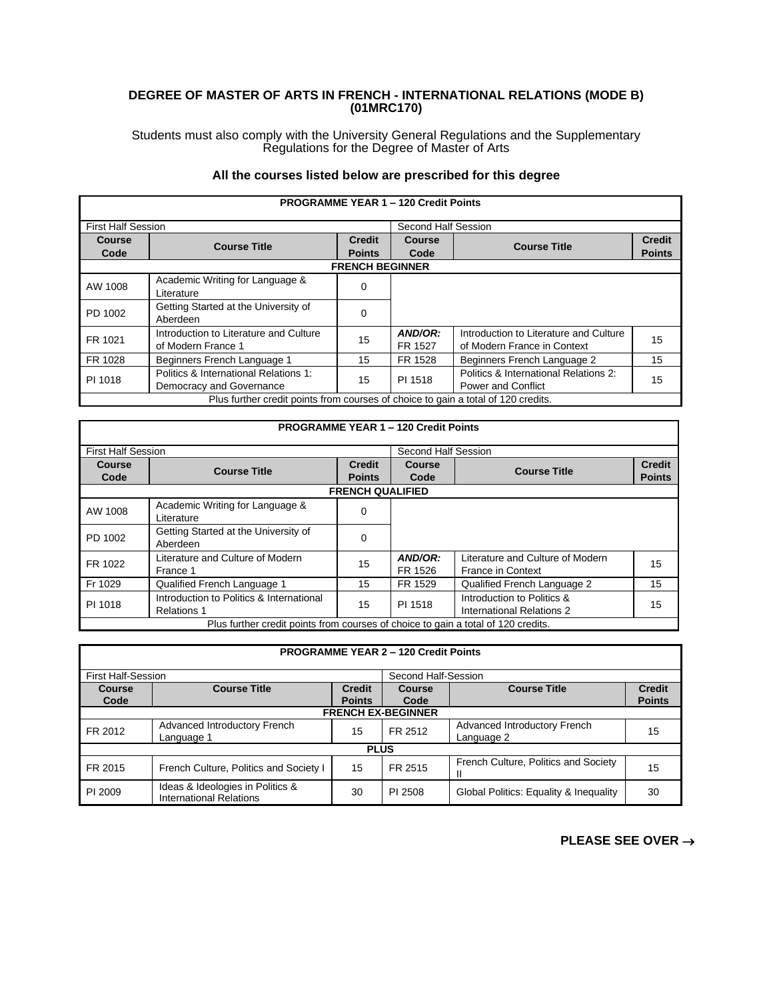## **DEGREE OF MASTER OF ARTS IN FRENCH - INTERNATIONAL RELATIONS (MODE B) (01MRC170)**

Students must also comply with the University General Regulations and the Supplementary Regulations for the Degree of Master of Arts

## **All the courses listed below are prescribed for this degree**

| <b>PROGRAMME YEAR 1 - 120 Credit Points</b>                                       |                                                                   |                                |                     |                                                                       |                                |  |
|-----------------------------------------------------------------------------------|-------------------------------------------------------------------|--------------------------------|---------------------|-----------------------------------------------------------------------|--------------------------------|--|
| <b>First Half Session</b>                                                         |                                                                   |                                | Second Half Session |                                                                       |                                |  |
| Course<br>Code                                                                    | <b>Course Title</b>                                               | <b>Credit</b><br><b>Points</b> | Course<br>Code      | <b>Course Title</b>                                                   | <b>Credit</b><br><b>Points</b> |  |
|                                                                                   |                                                                   | <b>FRENCH BEGINNER</b>         |                     |                                                                       |                                |  |
| AW 1008                                                                           | Academic Writing for Language &<br>Literature                     | 0                              |                     |                                                                       |                                |  |
| PD 1002                                                                           | Getting Started at the University of<br>Aberdeen                  | $\Omega$                       |                     |                                                                       |                                |  |
| FR 1021                                                                           | Introduction to Literature and Culture<br>of Modern France 1      | 15                             | AND/OR:<br>FR 1527  | Introduction to Literature and Culture<br>of Modern France in Context | 15                             |  |
| FR 1028                                                                           | Beginners French Language 1                                       | 15                             | FR 1528             | Beginners French Language 2                                           | 15                             |  |
| PI 1018                                                                           | Politics & International Relations 1:<br>Democracy and Governance | 15                             | PI 1518             | Politics & International Relations 2:<br><b>Power and Conflict</b>    | 15                             |  |
| Plus further credit points from courses of choice to gain a total of 120 credits. |                                                                   |                                |                     |                                                                       |                                |  |

## **PROGRAMME YEAR 1 – 120 Credit Points** First Half Session Second Half Session **Course Code Course Title Credit Points Course Code Course Title Credit Points FRENCH QUALIFIED** AW 1008 Academic Writing for Language & Container the Unit of Australian Container Automation Containing the C<br>  $\begin{bmatrix} 0 & 0 & 0 \\ 0 & 0 & 0 \\ 0 & 0 & 0 \\ 0 & 0 & 0 \\ 0 & 0 & 0 \\ 0 & 0 & 0 \\ 0 & 0 & 0 \\ 0 & 0 & 0 \\ 0 & 0 & 0 \\ 0 & 0 & 0 \\ 0 & 0 & 0 \\ 0 &$ PD 1002 Getting Started at the University of **Carry Contract A** Co FR 1022 Literature and Culture of Modern **15 AND/OR:**<br>France 1 France 1 FR 1526 Literature and Culture of Modern Elerature and Culture of Modern 15 Fr 1029 Qualified French Language 1 15 FR 1529 Qualified French Language 2 15 PI 1018 Introduction to Politics & International Relations 1 15 PI 1518 Introduction to Politics & International Relations 2 15 Plus further credit points from courses of choice to gain a total of 120 credits.

| <b>PROGRAMME YEAR 2 - 120 Credit Points</b>      |                                                                    |                                |                |                                            |                                |  |  |
|--------------------------------------------------|--------------------------------------------------------------------|--------------------------------|----------------|--------------------------------------------|--------------------------------|--|--|
| Second Half-Session<br><b>First Half-Session</b> |                                                                    |                                |                |                                            |                                |  |  |
| Course<br>Code                                   | <b>Course Title</b>                                                | <b>Credit</b><br><b>Points</b> | Course<br>Code | <b>Course Title</b>                        | <b>Credit</b><br><b>Points</b> |  |  |
| <b>FRENCH EX-BEGINNER</b>                        |                                                                    |                                |                |                                            |                                |  |  |
| FR 2012                                          | Advanced Introductory French<br>Language 1                         | 15                             | FR 2512        | Advanced Introductory French<br>Language 2 | 15                             |  |  |
| <b>PLUS</b>                                      |                                                                    |                                |                |                                            |                                |  |  |
| FR 2015                                          | French Culture, Politics and Society I                             | 15                             | FR 2515        | French Culture, Politics and Society<br>Ш  | 15                             |  |  |
| PI 2009                                          | Ideas & Ideologies in Politics &<br><b>International Relations</b> | 30                             | PI 2508        | Global Politics: Equality & Inequality     | 30                             |  |  |

**PLEASE SEE OVER** →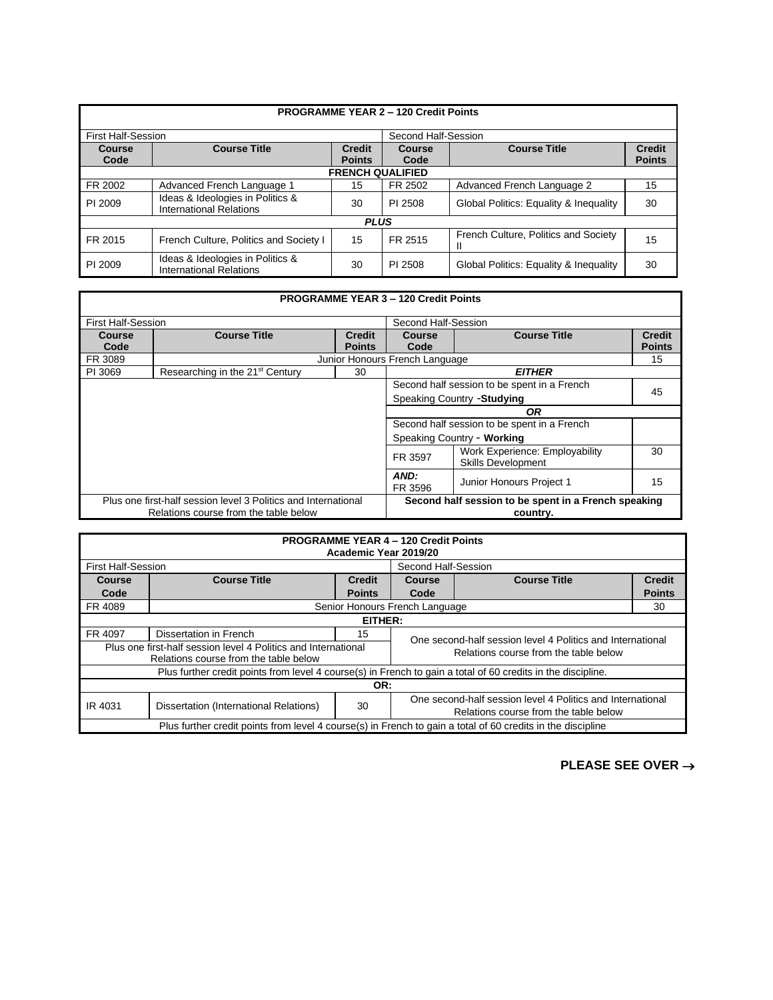|                           |                                                                    |                         | <b>PROGRAMME YEAR 2 - 120 Credit Points</b> |                                        |                                |  |  |
|---------------------------|--------------------------------------------------------------------|-------------------------|---------------------------------------------|----------------------------------------|--------------------------------|--|--|
| <b>First Half-Session</b> |                                                                    |                         | Second Half-Session                         |                                        |                                |  |  |
| <b>Course</b><br>Code     | <b>Course Title</b>                                                | Credit<br><b>Points</b> | Course<br>Code                              | <b>Course Title</b>                    | <b>Credit</b><br><b>Points</b> |  |  |
| <b>FRENCH QUALIFIED</b>   |                                                                    |                         |                                             |                                        |                                |  |  |
| FR 2002                   | Advanced French Language 1                                         | 15                      | FR 2502                                     | Advanced French Language 2             | 15                             |  |  |
| PI 2009                   | Ideas & Ideologies in Politics &<br><b>International Relations</b> | 30                      | PI 2508                                     | Global Politics: Equality & Inequality | 30                             |  |  |
|                           | <b>PLUS</b>                                                        |                         |                                             |                                        |                                |  |  |
| FR 2015                   | French Culture, Politics and Society I                             | 15                      | FR 2515                                     | French Culture, Politics and Society   | 15                             |  |  |
| PI 2009                   | Ideas & Ideologies in Politics &<br><b>International Relations</b> | 30                      | PI 2508                                     | Global Politics: Equality & Inequality | 30                             |  |  |

| <b>PROGRAMME YEAR 3 - 120 Credit Points</b>                            |                                             |                                                      |                                      |                                                                            |                                |
|------------------------------------------------------------------------|---------------------------------------------|------------------------------------------------------|--------------------------------------|----------------------------------------------------------------------------|--------------------------------|
| <b>First Half-Session</b>                                              |                                             |                                                      | Second Half-Session                  |                                                                            |                                |
| <b>Course</b><br>Code                                                  | <b>Course Title</b>                         | <b>Credit</b><br><b>Points</b>                       | <b>Course</b><br>Code                | <b>Course Title</b>                                                        | <b>Credit</b><br><b>Points</b> |
| FR 3089                                                                |                                             |                                                      | Junior Honours French Language<br>15 |                                                                            |                                |
| PI 3069                                                                | Researching in the 21 <sup>st</sup> Century | 30                                                   | <b>EITHER</b>                        |                                                                            |                                |
|                                                                        |                                             |                                                      |                                      | Second half session to be spent in a French<br>Speaking Country - Studying | 45                             |
|                                                                        |                                             | 0R                                                   |                                      |                                                                            |                                |
| Second half session to be spent in a French                            |                                             |                                                      |                                      |                                                                            |                                |
|                                                                        | Speaking Country - Working                  |                                                      |                                      |                                                                            |                                |
| Work Experience: Employability<br>FR 3597<br><b>Skills Development</b> |                                             |                                                      |                                      | 30                                                                         |                                |
|                                                                        |                                             |                                                      | AND:<br>FR 3596                      | Junior Honours Project 1                                                   | 15                             |
| Plus one first-half session level 3 Politics and International         |                                             | Second half session to be spent in a French speaking |                                      |                                                                            |                                |
| Relations course from the table below                                  |                                             | country.                                             |                                      |                                                                            |                                |

| <b>PROGRAMME YEAR 4 - 120 Credit Points</b><br>Academic Year 2019/20                                                                             |                                                                                                                                                     |               |                                                            |                     |               |  |  |
|--------------------------------------------------------------------------------------------------------------------------------------------------|-----------------------------------------------------------------------------------------------------------------------------------------------------|---------------|------------------------------------------------------------|---------------------|---------------|--|--|
| <b>First Half-Session</b>                                                                                                                        |                                                                                                                                                     |               | Second Half-Session                                        |                     |               |  |  |
| <b>Course</b>                                                                                                                                    | <b>Course Title</b>                                                                                                                                 | <b>Credit</b> | Course                                                     | <b>Course Title</b> | <b>Credit</b> |  |  |
| Code                                                                                                                                             |                                                                                                                                                     | <b>Points</b> | Code                                                       |                     | <b>Points</b> |  |  |
| FR 4089                                                                                                                                          |                                                                                                                                                     |               | Senior Honours French Language                             |                     | 30            |  |  |
|                                                                                                                                                  | EITHER:                                                                                                                                             |               |                                                            |                     |               |  |  |
| FR 4097                                                                                                                                          | Dissertation in French                                                                                                                              | 15            | One second-half session level 4 Politics and International |                     |               |  |  |
| Plus one first-half session level 4 Politics and International<br>Relations course from the table below<br>Relations course from the table below |                                                                                                                                                     |               |                                                            |                     |               |  |  |
| Plus further credit points from level 4 course(s) in French to gain a total of 60 credits in the discipline.                                     |                                                                                                                                                     |               |                                                            |                     |               |  |  |
| OR:                                                                                                                                              |                                                                                                                                                     |               |                                                            |                     |               |  |  |
| IR 4031                                                                                                                                          | One second-half session level 4 Politics and International<br>30<br>Dissertation (International Relations)<br>Relations course from the table below |               |                                                            |                     |               |  |  |
| Plus further credit points from level 4 course(s) in French to gain a total of 60 credits in the discipline                                      |                                                                                                                                                     |               |                                                            |                     |               |  |  |

**PLEASE SEE OVER** →